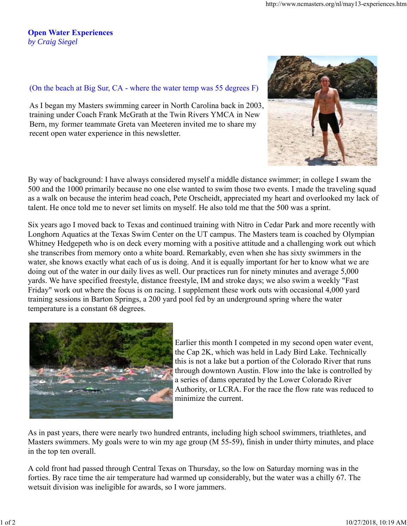## **Open Water Experiences** *by Craig Siegel*

## (On the beach at Big Sur, CA - where the water temp was 55 degrees F)

As I began my Masters swimming career in North Carolina back in 2003, training under Coach Frank McGrath at the Twin Rivers YMCA in New Bern, my former teammate Greta van Meeteren invited me to share my recent open water experience in this newsletter.

By way of background: I have always considered myself a middle distance swimmer; in college I swam the 500 and the 1000 primarily because no one else wanted to swim those two events. I made the traveling squad as a walk on because the interim head coach, Pete Orscheidt, appreciated my heart and overlooked my lack of talent. He once told me to never set limits on myself. He also told me that the 500 was a sprint.

Six years ago I moved back to Texas and continued training with Nitro in Cedar Park and more recently with Longhorn Aquatics at the Texas Swim Center on the UT campus. The Masters team is coached by Olympian Whitney Hedgepeth who is on deck every morning with a positive attitude and a challenging work out which she transcribes from memory onto a white board. Remarkably, even when she has sixty swimmers in the water, she knows exactly what each of us is doing. And it is equally important for her to know what we are doing out of the water in our daily lives as well. Our practices run for ninety minutes and average 5,000 yards. We have specified freestyle, distance freestyle, IM and stroke days; we also swim a weekly "Fast Friday" work out where the focus is on racing. I supplement these work outs with occasional 4,000 yard training sessions in Barton Springs, a 200 yard pool fed by an underground spring where the water temperature is a constant 68 degrees.



As in past years, there were nearly two hundred entrants, including high school swimmers, triathletes, and Masters swimmers. My goals were to win my age group (M 55-59), finish in under thirty minutes, and place in the top ten overall.

A cold front had passed through Central Texas on Thursday, so the low on Saturday morning was in the forties. By race time the air temperature had warmed up considerably, but the water was a chilly 67. The wetsuit division was ineligible for awards, so I wore jammers.